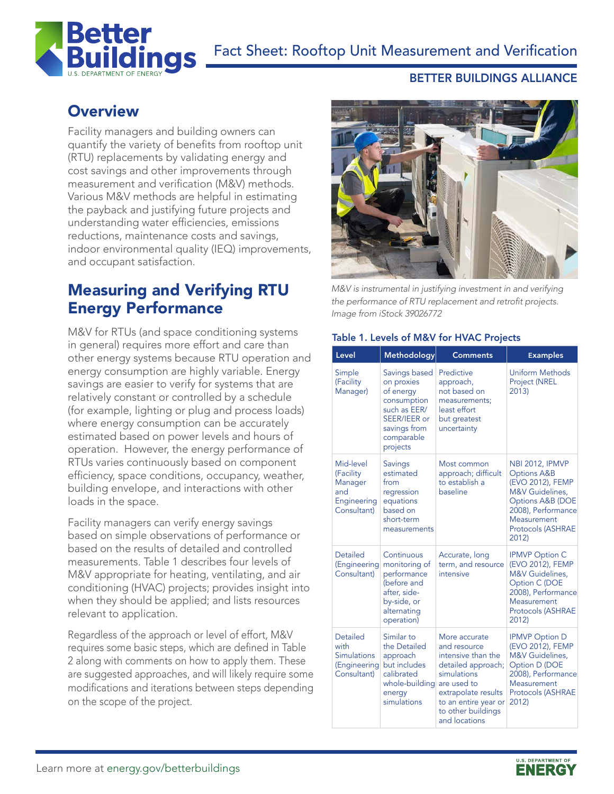

### BETTER BUILDINGS ALLIANCE

# **Overview**

Facility managers and building owners can quantify the variety of benefits from rooftop unit (RTU) replacements by validating energy and cost savings and other improvements through measurement and verification (M&V) methods. Various M&V methods are helpful in estimating the payback and justifying future projects and understanding water efficiencies, emissions reductions, maintenance costs and savings, indoor environmental quality (IEQ) improvements, and occupant satisfaction.

# Measuring and Verifying RTU Energy Performance

M&V for RTUs (and space conditioning systems in general) requires more effort and care than other energy systems because RTU operation and energy consumption are highly variable. Energy savings are easier to verify for systems that are relatively constant or controlled by a schedule (for example, lighting or plug and process loads) where energy consumption can be accurately estimated based on power levels and hours of operation. However, the energy performance of RTUs varies continuously based on component efficiency, space conditions, occupancy, weather, building envelope, and interactions with other loads in the space.

Facility managers can verify energy savings based on simple observations of performance or based on the results of detailed and controlled measurements. Table 1 describes four levels of M&V appropriate for heating, ventilating, and air conditioning (HVAC) projects; provides insight into when they should be applied; and lists resources relevant to application.

Regardless of the approach or level of effort, M&V requires some basic steps, which are defined in Table 2 along with comments on how to apply them. These are suggested approaches, and will likely require some modifications and iterations between steps depending on the scope of the project.



*M&V is instrumental in justifying investment in and verifying*  the performance of RTU replacement and retrofit projects. *Image from iStock 39026772*

#### Table 1. Levels of M&V for HVAC Projects

|  | Level                                                                        | Methodology                                                                                                                       | <b>Comments</b>                                                                                                                                                                               | <b>Examples</b>                                                                                                                                                                                  |
|--|------------------------------------------------------------------------------|-----------------------------------------------------------------------------------------------------------------------------------|-----------------------------------------------------------------------------------------------------------------------------------------------------------------------------------------------|--------------------------------------------------------------------------------------------------------------------------------------------------------------------------------------------------|
|  | Simple<br>(Facility<br>Manager)                                              | Savings based<br>on proxies<br>of energy<br>consumption<br>such as EER/<br>SEER/IEER or<br>savings from<br>comparable<br>projects | Predictive<br>approach,<br>not based on<br>measurements;<br>least effort<br>but greatest<br>uncertainty                                                                                       | <b>Uniform Methods</b><br><b>Project (NREL</b><br>2013)                                                                                                                                          |
|  | Mid-level<br>(Facility<br>Manager<br>and<br>Engineering<br>Consultant)       | <b>Savings</b><br>estimated<br>from<br>regression<br>equations<br>based on<br>short-term<br>measurements                          | Most common<br>approach; difficult<br>to establish a<br>baseline                                                                                                                              | <b>NBI 2012, IPMVP</b><br><b>Options A&amp;B</b><br>(EVO 2012), FEMP<br>M&V Guidelines,<br><b>Options A&amp;B (DOE</b><br>2008), Performance<br>Measurement<br><b>Protocols (ASHRAE</b><br>2012) |
|  | <b>Detailed</b><br>(Engineering<br>Consultant)                               | Continuous<br>monitoring of<br>performance<br>(before and<br>after, side-<br>by-side, or<br>alternating<br>operation)             | Accurate, long<br>term, and resource<br>intensive                                                                                                                                             | <b>IPMVP Option C</b><br>(EVO 2012), FEMP<br>M&V Guidelines,<br>Option C (DOE<br>2008), Performance<br>Measurement<br><b>Protocols (ASHRAE</b><br>2012)                                          |
|  | <b>Detailed</b><br>with<br><b>Simulations</b><br>(Engineering<br>Consultant) | Similar <sub>to</sub><br>the Detailed<br>approach<br>but includes<br>calibrated<br>whole-building<br>energy<br>simulations        | More accurate<br>and resource<br>intensive than the<br>detailed approach;<br>simulations<br>are used to<br>extrapolate results<br>to an entire year or<br>to other buildings<br>and locations | <b>IPMVP Option D</b><br>(EVO 2012), FEMP<br><b>M&amp;V</b> Guidelines,<br>Option D (DOE<br>2008), Performance<br>Measurement<br><b>Protocols (ASHRAE</b><br>2012)                               |